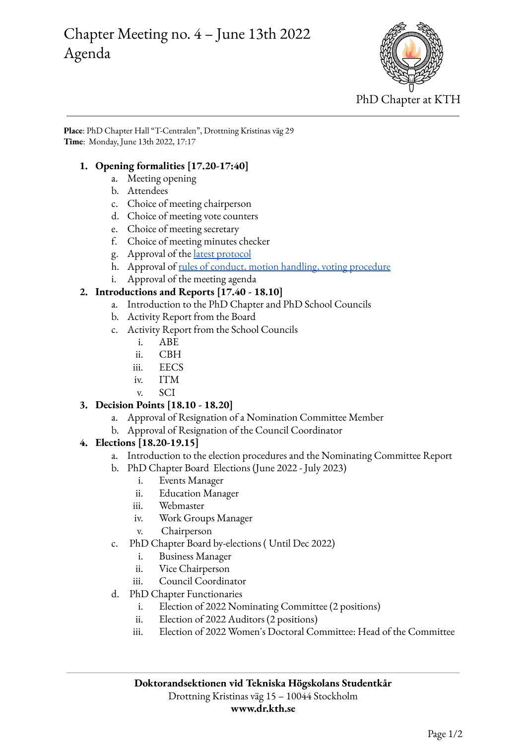# Chapter Meeting no. 4 – June 13th 2022 Agenda



**Place**: PhD Chapter Hall "T-Centralen", Drottning Kristinas väg 29 **Time**: Monday, June 13th 2022, 17:17

#### **1. Opening formalities [17.20-17:40]**

- a. Meeting opening
- b. Attendees
- c. Choice of meeting chairperson
- d. Choice of meeting vote counters
- e. Choice of meeting secretary
- f. Choice of meeting minutes checker
- g. Approval of the latest [protocol](https://drive.google.com/file/d/1Sig55cqfdN1RJOLsDQZUQKztnZSc3ArX/view?usp=sharing)
- h. Approval of rules of conduct, motion handling, voting [procedure](https://www.dr.kth.se/wp-content/uploads/sites/6/2021/11/Chapter-meeting-20211111-Rules-of-conduct-and-voting-criteria.pdf)
- i. Approval of the meeting agenda

### **2. Introductions and Reports [17.40 - 18.10]**

- a. Introduction to the PhD Chapter and PhD School Councils
- b. Activity Report from the Board
- c. Activity Report from the School Councils
	- i. ABE
	- ii. CBH
	- iii. EECS
	- iv. ITM
	- v. SCI

## **3. Decision Points [18.10 - 18.20]**

- a. Approval of Resignation of a Nomination Committee Member
- b. Approval of Resignation of the Council Coordinator

## **4. Elections [18.20-19.15]**

- a. Introduction to the election procedures and the Nominating Committee Report
- b. PhD Chapter Board Elections (June 2022 July 2023)
	- i. Events Manager
	- ii. Education Manager
	- iii. Webmaster
	- iv. Work Groups Manager
	- v. Chairperson
- c. PhD Chapter Board by-elections ( Until Dec 2022)
	- i. Business Manager
	- ii. Vice Chairperson
	- iii. Council Coordinator
- d. PhD Chapter Functionaries
	- i. Election of 2022 Nominating Committee (2 positions)
	- ii. Election of 2022 Auditors (2 positions)
	- iii. Election of 2022 Women's Doctoral Committee: Head of the Committee